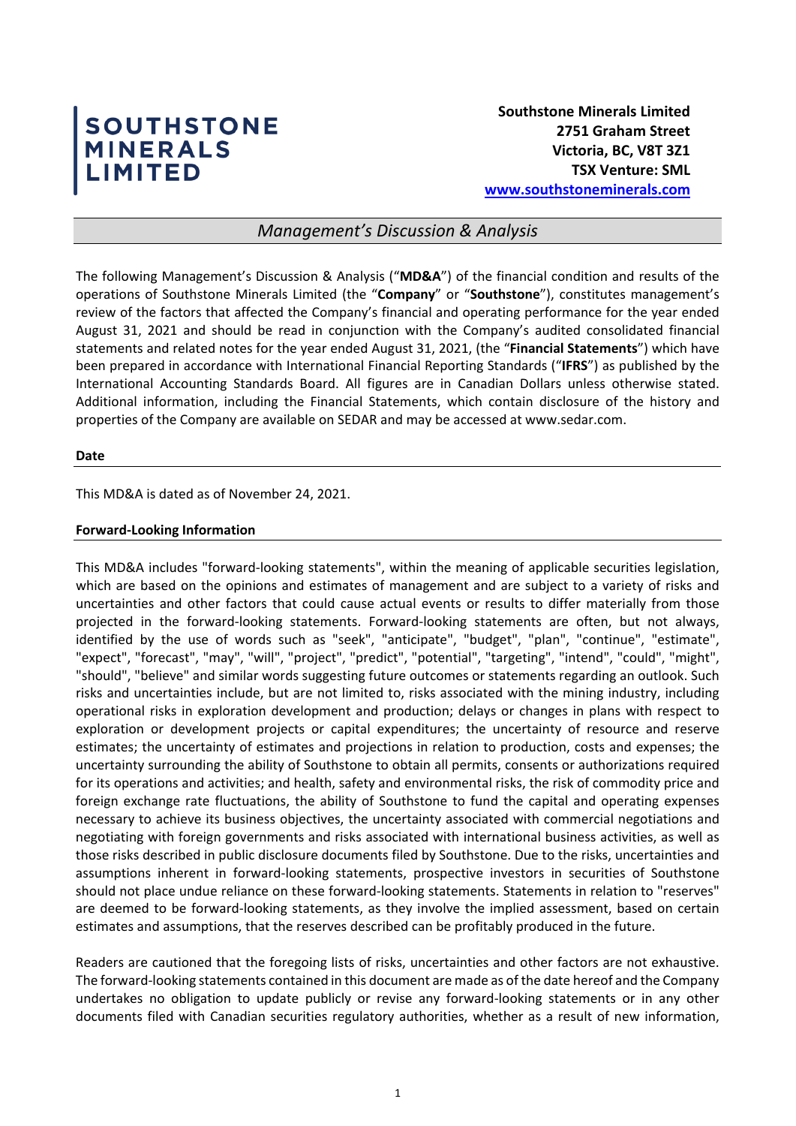# SOUTHSTONE<br>MINERALS<br>LIMITED

# *Management's Discussion & Analysis*

The following Management's Discussion & Analysis ("**MD&A**") of the financial condition and results of the operations of Southstone Minerals Limited (the "**Company**" or "**Southstone**"), constitutes management's review of the factors that affected the Company's financial and operating performance for the year ended August 31, 2021 and should be read in conjunction with the Company's audited consolidated financial statements and related notes for the year ended August 31, 2021, (the "**Financial Statements**") which have been prepared in accordance with International Financial Reporting Standards ("**IFRS**") as published by the International Accounting Standards Board. All figures are in Canadian Dollars unless otherwise stated. Additional information, including the Financial Statements, which contain disclosure of the history and properties of the Company are available on SEDAR and may be accessed at www.sedar.com.

#### **Date**

This MD&A is dated as of November 24, 2021.

## **Forward-Looking Information**

This MD&A includes "forward-looking statements", within the meaning of applicable securities legislation, which are based on the opinions and estimates of management and are subject to a variety of risks and uncertainties and other factors that could cause actual events or results to differ materially from those projected in the forward-looking statements. Forward-looking statements are often, but not always, identified by the use of words such as "seek", "anticipate", "budget", "plan", "continue", "estimate", "expect", "forecast", "may", "will", "project", "predict", "potential", "targeting", "intend", "could", "might", "should", "believe" and similar words suggesting future outcomes or statements regarding an outlook. Such risks and uncertainties include, but are not limited to, risks associated with the mining industry, including operational risks in exploration development and production; delays or changes in plans with respect to exploration or development projects or capital expenditures; the uncertainty of resource and reserve estimates; the uncertainty of estimates and projections in relation to production, costs and expenses; the uncertainty surrounding the ability of Southstone to obtain all permits, consents or authorizations required for its operations and activities; and health, safety and environmental risks, the risk of commodity price and foreign exchange rate fluctuations, the ability of Southstone to fund the capital and operating expenses necessary to achieve its business objectives, the uncertainty associated with commercial negotiations and negotiating with foreign governments and risks associated with international business activities, as well as those risks described in public disclosure documents filed by Southstone. Due to the risks, uncertainties and assumptions inherent in forward-looking statements, prospective investors in securities of Southstone should not place undue reliance on these forward-looking statements. Statements in relation to "reserves" are deemed to be forward-looking statements, as they involve the implied assessment, based on certain estimates and assumptions, that the reserves described can be profitably produced in the future.

Readers are cautioned that the foregoing lists of risks, uncertainties and other factors are not exhaustive. The forward-looking statements contained in this document are made as of the date hereof and the Company undertakes no obligation to update publicly or revise any forward-looking statements or in any other documents filed with Canadian securities regulatory authorities, whether as a result of new information,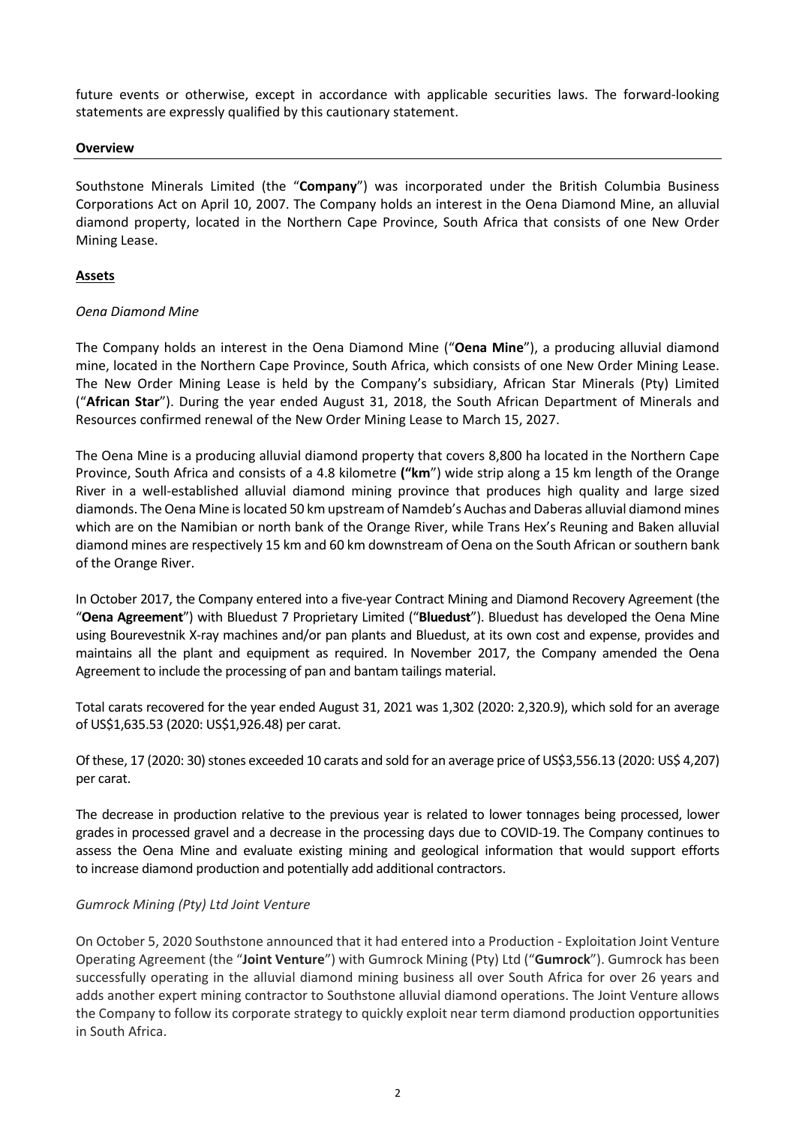future events or otherwise, except in accordance with applicable securities laws. The forward-looking statements are expressly qualified by this cautionary statement.

## **Overview**

Southstone Minerals Limited (the "**Company**") was incorporated under the British Columbia Business Corporations Act on April 10, 2007. The Company holds an interest in the Oena Diamond Mine, an alluvial diamond property, located in the Northern Cape Province, South Africa that consists of one New Order Mining Lease.

## **Assets**

## *Oena Diamond Mine*

The Company holds an interest in the Oena Diamond Mine ("**Oena Mine**"), a producing alluvial diamond mine, located in the Northern Cape Province, South Africa, which consists of one New Order Mining Lease. The New Order Mining Lease is held by the Company's subsidiary, African Star Minerals (Pty) Limited ("**African Star**"). During the year ended August 31, 2018, the South African Department of Minerals and Resources confirmed renewal of the New Order Mining Lease to March 15, 2027.

The Oena Mine is a producing alluvial diamond property that covers 8,800 ha located in the Northern Cape Province, South Africa and consists of a 4.8 kilometre **("km**") wide strip along a 15 km length of the Orange River in a well-established alluvial diamond mining province that produces high quality and large sized diamonds. The Oena Mine is located 50 km upstream of Namdeb's Auchas and Daberas alluvial diamond mines which are on the Namibian or north bank of the Orange River, while Trans Hex's Reuning and Baken alluvial diamond mines are respectively 15 km and 60 km downstream of Oena on the South African or southern bank of the Orange River.

In October 2017, the Company entered into a five-year Contract Mining and Diamond Recovery Agreement (the "**Oena Agreement**") with Bluedust 7 Proprietary Limited ("**Bluedust**"). Bluedust has developed the Oena Mine using Bourevestnik X-ray machines and/or pan plants and Bluedust, at its own cost and expense, provides and maintains all the plant and equipment as required. In November 2017, the Company amended the Oena Agreement to include the processing of pan and bantam tailings material.

Total carats recovered for the year ended August 31, 2021 was 1,302 (2020: 2,320.9), which sold for an average of US\$1,635.53 (2020: US\$1,926.48) per carat.

Of these, 17 (2020: 30) stones exceeded 10 carats and sold for an average price of US\$3,556.13 (2020: US\$ 4,207) per carat.

The decrease in production relative to the previous year is related to lower tonnages being processed, lower gradesin processed gravel and a decrease in the processing days due to COVID-19. The Company continues to assess the Oena Mine and evaluate existing mining and geological information that would support efforts to increase diamond production and potentially add additional contractors.

#### *Gumrock Mining (Pty) Ltd Joint Venture*

On October 5, 2020 Southstone announced that it had entered into a Production - Exploitation Joint Venture Operating Agreement (the "**Joint Venture**") with Gumrock Mining (Pty) Ltd ("**Gumrock**"). Gumrock has been successfully operating in the alluvial diamond mining business all over South Africa for over 26 years and adds another expert mining contractor to Southstone alluvial diamond operations. The Joint Venture allows the Company to follow its corporate strategy to quickly exploit near term diamond production opportunities in South Africa.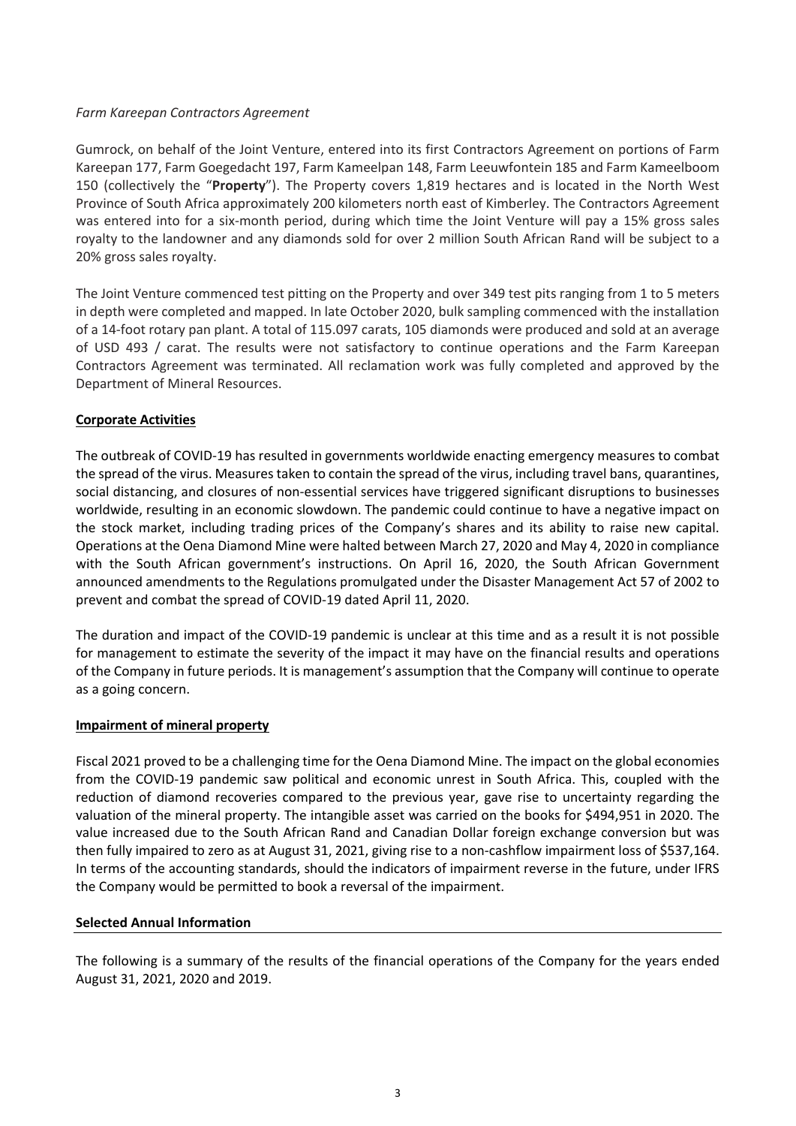## *Farm Kareepan Contractors Agreement*

Gumrock, on behalf of the Joint Venture, entered into its first Contractors Agreement on portions of Farm Kareepan 177, Farm Goegedacht 197, Farm Kameelpan 148, Farm Leeuwfontein 185 and Farm Kameelboom 150 (collectively the "**Property**"). The Property covers 1,819 hectares and is located in the North West Province of South Africa approximately 200 kilometers north east of Kimberley. The Contractors Agreement was entered into for a six-month period, during which time the Joint Venture will pay a 15% gross sales royalty to the landowner and any diamonds sold for over 2 million South African Rand will be subject to a 20% gross sales royalty.

The Joint Venture commenced test pitting on the Property and over 349 test pits ranging from 1 to 5 meters in depth were completed and mapped. In late October 2020, bulk sampling commenced with the installation of a 14-foot rotary pan plant. A total of 115.097 carats, 105 diamonds were produced and sold at an average of USD 493 / carat. The results were not satisfactory to continue operations and the Farm Kareepan Contractors Agreement was terminated. All reclamation work was fully completed and approved by the Department of Mineral Resources.

## **Corporate Activities**

The outbreak of COVID-19 has resulted in governments worldwide enacting emergency measures to combat the spread of the virus. Measures taken to contain the spread of the virus, including travel bans, quarantines, social distancing, and closures of non-essential services have triggered significant disruptions to businesses worldwide, resulting in an economic slowdown. The pandemic could continue to have a negative impact on the stock market, including trading prices of the Company's shares and its ability to raise new capital. Operations at the Oena Diamond Mine were halted between March 27, 2020 and May 4, 2020 in compliance with the South African government's instructions. On April 16, 2020, the South African Government announced amendments to the Regulations promulgated under the Disaster Management Act 57 of 2002 to prevent and combat the spread of COVID-19 dated April 11, 2020.

The duration and impact of the COVID-19 pandemic is unclear at this time and as a result it is not possible for management to estimate the severity of the impact it may have on the financial results and operations of the Company in future periods. It is management's assumption that the Company will continue to operate as a going concern.

## **Impairment of mineral property**

Fiscal 2021 proved to be a challenging time for the Oena Diamond Mine. The impact on the global economies from the COVID-19 pandemic saw political and economic unrest in South Africa. This, coupled with the reduction of diamond recoveries compared to the previous year, gave rise to uncertainty regarding the valuation of the mineral property. The intangible asset was carried on the books for \$494,951 in 2020. The value increased due to the South African Rand and Canadian Dollar foreign exchange conversion but was then fully impaired to zero as at August 31, 2021, giving rise to a non-cashflow impairment loss of \$537,164. In terms of the accounting standards, should the indicators of impairment reverse in the future, under IFRS the Company would be permitted to book a reversal of the impairment.

## **Selected Annual Information**

The following is a summary of the results of the financial operations of the Company for the years ended August 31, 2021, 2020 and 2019.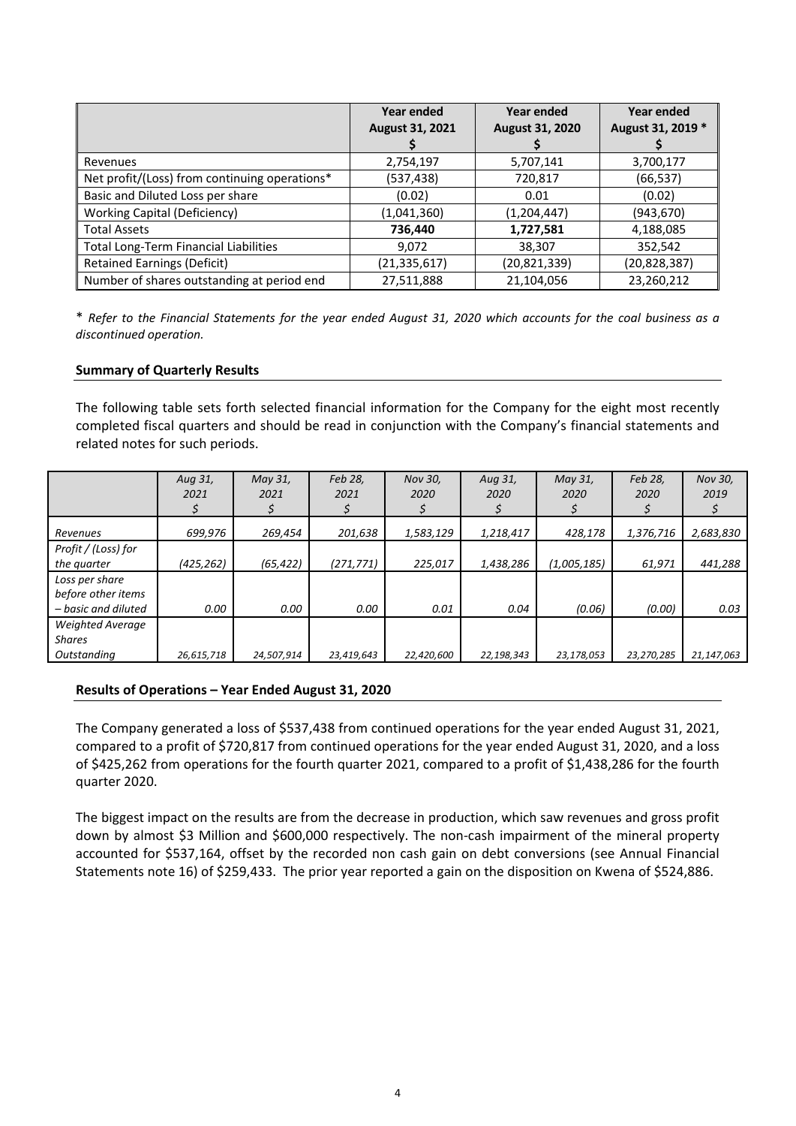|                                               | <b>Year ended</b><br><b>August 31, 2021</b> | Year ended<br><b>August 31, 2020</b> | <b>Year ended</b><br>August 31, 2019 * |
|-----------------------------------------------|---------------------------------------------|--------------------------------------|----------------------------------------|
| Revenues                                      | 2,754,197                                   | 5,707,141                            | 3,700,177                              |
| Net profit/(Loss) from continuing operations* | (537,438)                                   | 720,817                              | (66, 537)                              |
| Basic and Diluted Loss per share              | (0.02)                                      | 0.01                                 | (0.02)                                 |
| <b>Working Capital (Deficiency)</b>           | (1,041,360)                                 | (1,204,447)                          | (943,670)                              |
| <b>Total Assets</b>                           | 736,440                                     | 1,727,581                            | 4,188,085                              |
| <b>Total Long-Term Financial Liabilities</b>  | 9,072                                       | 38,307                               | 352,542                                |
| <b>Retained Earnings (Deficit)</b>            | (21, 335, 617)                              | (20, 821, 339)                       | (20, 828, 387)                         |
| Number of shares outstanding at period end    | 27,511,888                                  | 21,104,056                           | 23,260,212                             |

\* *Refer to the Financial Statements for the year ended August 31, 2020 which accounts for the coal business as a discontinued operation.*

# **Summary of Quarterly Results**

The following table sets forth selected financial information for the Company for the eight most recently completed fiscal quarters and should be read in conjunction with the Company's financial statements and related notes for such periods.

|                                                             | Aug 31,<br>2021 | May 31,<br>2021 | Feb 28,<br>2021 | Nov 30,<br>2020 | Aug 31,<br>2020 | May 31,<br>2020 | Feb 28,<br>2020 | Nov 30,<br>2019 |
|-------------------------------------------------------------|-----------------|-----------------|-----------------|-----------------|-----------------|-----------------|-----------------|-----------------|
| Revenues                                                    | 699.976         | 269,454         | 201,638         | 1,583,129       | 1,218,417       | 428,178         | 1,376,716       | 2,683,830       |
| Profit / (Loss) for<br>the quarter                          | (425,262)       | (65, 422)       | (271, 771)      | 225,017         | 1,438,286       | (1,005,185)     | 61,971          | 441,288         |
| Loss per share<br>before other items<br>– basic and diluted | 0.00            | 0.00            | 0.00            | 0.01            | 0.04            | (0.06)          | (0.00)          | 0.03            |
| <b>Weighted Average</b><br><b>Shares</b><br>Outstanding     | 26,615,718      | 24,507,914      | 23,419,643      | 22,420,600      | 22,198,343      | 23,178,053      | 23,270,285      | 21,147,063      |

## **Results of Operations – Year Ended August 31, 2020**

The Company generated a loss of \$537,438 from continued operations for the year ended August 31, 2021, compared to a profit of \$720,817 from continued operations for the year ended August 31, 2020, and a loss of \$425,262 from operations for the fourth quarter 2021, compared to a profit of \$1,438,286 for the fourth quarter 2020.

The biggest impact on the results are from the decrease in production, which saw revenues and gross profit down by almost \$3 Million and \$600,000 respectively. The non-cash impairment of the mineral property accounted for \$537,164, offset by the recorded non cash gain on debt conversions (see Annual Financial Statements note 16) of \$259,433. The prior year reported a gain on the disposition on Kwena of \$524,886.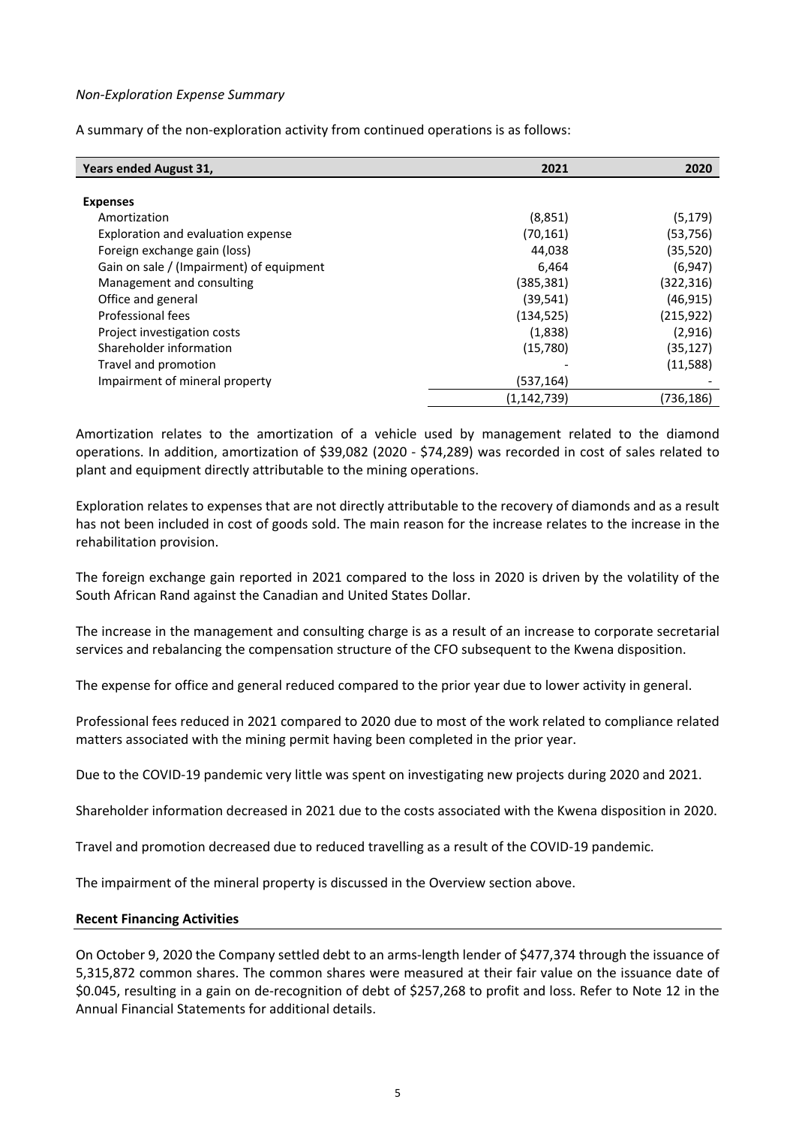## *Non-Exploration Expense Summary*

A summary of the non-exploration activity from continued operations is as follows:

| <b>Years ended August 31,</b>            | 2021          | 2020       |
|------------------------------------------|---------------|------------|
|                                          |               |            |
| <b>Expenses</b>                          |               |            |
| Amortization                             | (8,851)       | (5, 179)   |
| Exploration and evaluation expense       | (70, 161)     | (53, 756)  |
| Foreign exchange gain (loss)             | 44,038        | (35, 520)  |
| Gain on sale / (Impairment) of equipment | 6,464         | (6, 947)   |
| Management and consulting                | (385, 381)    | (322,316)  |
| Office and general                       | (39, 541)     | (46, 915)  |
| Professional fees                        | (134, 525)    | (215, 922) |
| Project investigation costs              | (1,838)       | (2,916)    |
| Shareholder information                  | (15,780)      | (35, 127)  |
| Travel and promotion                     |               | (11,588)   |
| Impairment of mineral property           | (537, 164)    |            |
|                                          | (1, 142, 739) | (736,186)  |

Amortization relates to the amortization of a vehicle used by management related to the diamond operations. In addition, amortization of \$39,082 (2020 - \$74,289) was recorded in cost of sales related to plant and equipment directly attributable to the mining operations.

Exploration relates to expenses that are not directly attributable to the recovery of diamonds and as a result has not been included in cost of goods sold. The main reason for the increase relates to the increase in the rehabilitation provision.

The foreign exchange gain reported in 2021 compared to the loss in 2020 is driven by the volatility of the South African Rand against the Canadian and United States Dollar.

The increase in the management and consulting charge is as a result of an increase to corporate secretarial services and rebalancing the compensation structure of the CFO subsequent to the Kwena disposition.

The expense for office and general reduced compared to the prior year due to lower activity in general.

Professional fees reduced in 2021 compared to 2020 due to most of the work related to compliance related matters associated with the mining permit having been completed in the prior year.

Due to the COVID-19 pandemic very little was spent on investigating new projects during 2020 and 2021.

Shareholder information decreased in 2021 due to the costs associated with the Kwena disposition in 2020.

Travel and promotion decreased due to reduced travelling as a result of the COVID-19 pandemic.

The impairment of the mineral property is discussed in the Overview section above.

#### **Recent Financing Activities**

On October 9, 2020 the Company settled debt to an arms-length lender of \$477,374 through the issuance of 5,315,872 common shares. The common shares were measured at their fair value on the issuance date of \$0.045, resulting in a gain on de-recognition of debt of \$257,268 to profit and loss. Refer to Note 12 in the Annual Financial Statements for additional details.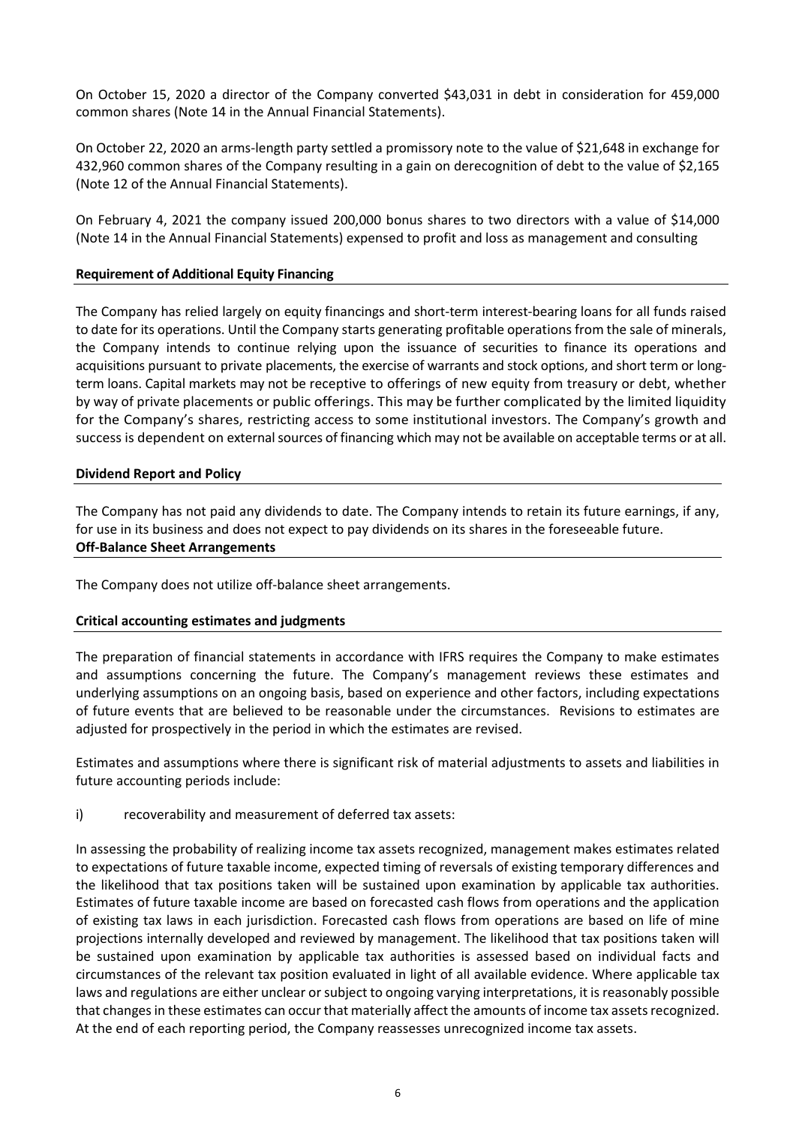On October 15, 2020 a director of the Company converted \$43,031 in debt in consideration for 459,000 common shares (Note 14 in the Annual Financial Statements).

On October 22, 2020 an arms-length party settled a promissory note to the value of \$21,648 in exchange for 432,960 common shares of the Company resulting in a gain on derecognition of debt to the value of \$2,165 (Note 12 of the Annual Financial Statements).

On February 4, 2021 the company issued 200,000 bonus shares to two directors with a value of \$14,000 (Note 14 in the Annual Financial Statements) expensed to profit and loss as management and consulting

## **Requirement of Additional Equity Financing**

The Company has relied largely on equity financings and short-term interest-bearing loans for all funds raised to date for its operations. Until the Company starts generating profitable operations from the sale of minerals, the Company intends to continue relying upon the issuance of securities to finance its operations and acquisitions pursuant to private placements, the exercise of warrants and stock options, and short term or longterm loans. Capital markets may not be receptive to offerings of new equity from treasury or debt, whether by way of private placements or public offerings. This may be further complicated by the limited liquidity for the Company's shares, restricting access to some institutional investors. The Company's growth and success is dependent on external sources of financing which may not be available on acceptable terms or at all.

#### **Dividend Report and Policy**

The Company has not paid any dividends to date. The Company intends to retain its future earnings, if any, for use in its business and does not expect to pay dividends on its shares in the foreseeable future. **Off-Balance Sheet Arrangements**

The Company does not utilize off-balance sheet arrangements.

## **Critical accounting estimates and judgments**

The preparation of financial statements in accordance with IFRS requires the Company to make estimates and assumptions concerning the future. The Company's management reviews these estimates and underlying assumptions on an ongoing basis, based on experience and other factors, including expectations of future events that are believed to be reasonable under the circumstances. Revisions to estimates are adjusted for prospectively in the period in which the estimates are revised.

Estimates and assumptions where there is significant risk of material adjustments to assets and liabilities in future accounting periods include:

i) recoverability and measurement of deferred tax assets:

In assessing the probability of realizing income tax assets recognized, management makes estimates related to expectations of future taxable income, expected timing of reversals of existing temporary differences and the likelihood that tax positions taken will be sustained upon examination by applicable tax authorities. Estimates of future taxable income are based on forecasted cash flows from operations and the application of existing tax laws in each jurisdiction. Forecasted cash flows from operations are based on life of mine projections internally developed and reviewed by management. The likelihood that tax positions taken will be sustained upon examination by applicable tax authorities is assessed based on individual facts and circumstances of the relevant tax position evaluated in light of all available evidence. Where applicable tax laws and regulations are either unclear or subject to ongoing varying interpretations, it is reasonably possible that changes in these estimates can occur that materially affect the amounts of income tax assets recognized. At the end of each reporting period, the Company reassesses unrecognized income tax assets.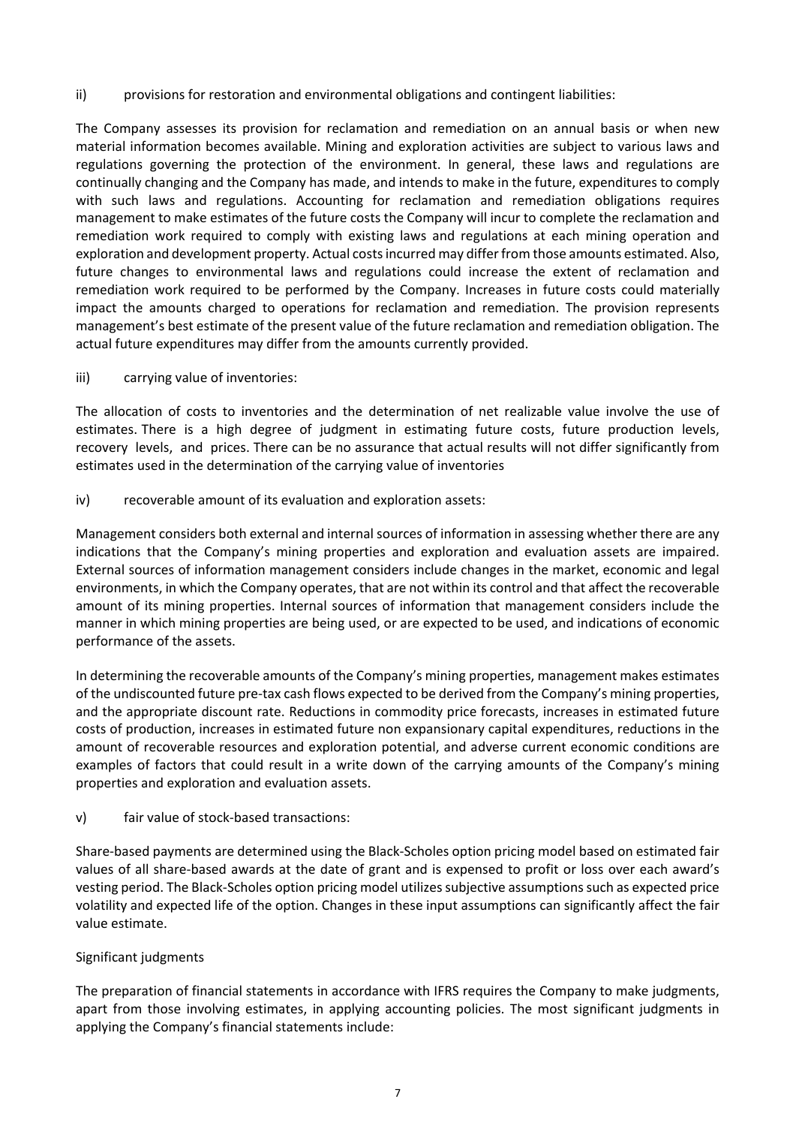ii) provisions for restoration and environmental obligations and contingent liabilities:

The Company assesses its provision for reclamation and remediation on an annual basis or when new material information becomes available. Mining and exploration activities are subject to various laws and regulations governing the protection of the environment. In general, these laws and regulations are continually changing and the Company has made, and intends to make in the future, expenditures to comply with such laws and regulations. Accounting for reclamation and remediation obligations requires management to make estimates of the future costs the Company will incur to complete the reclamation and remediation work required to comply with existing laws and regulations at each mining operation and exploration and development property. Actual costs incurred may differ from those amounts estimated. Also, future changes to environmental laws and regulations could increase the extent of reclamation and remediation work required to be performed by the Company. Increases in future costs could materially impact the amounts charged to operations for reclamation and remediation. The provision represents management's best estimate of the present value of the future reclamation and remediation obligation. The actual future expenditures may differ from the amounts currently provided.

iii) carrying value of inventories:

The allocation of costs to inventories and the determination of net realizable value involve the use of estimates. There is a high degree of judgment in estimating future costs, future production levels, recovery levels, and prices. There can be no assurance that actual results will not differ significantly from estimates used in the determination of the carrying value of inventories

iv) recoverable amount of its evaluation and exploration assets:

Management considers both external and internal sources of information in assessing whether there are any indications that the Company's mining properties and exploration and evaluation assets are impaired. External sources of information management considers include changes in the market, economic and legal environments, in which the Company operates, that are not within its control and that affect the recoverable amount of its mining properties. Internal sources of information that management considers include the manner in which mining properties are being used, or are expected to be used, and indications of economic performance of the assets.

In determining the recoverable amounts of the Company's mining properties, management makes estimates of the undiscounted future pre-tax cash flows expected to be derived from the Company's mining properties, and the appropriate discount rate. Reductions in commodity price forecasts, increases in estimated future costs of production, increases in estimated future non expansionary capital expenditures, reductions in the amount of recoverable resources and exploration potential, and adverse current economic conditions are examples of factors that could result in a write down of the carrying amounts of the Company's mining properties and exploration and evaluation assets.

v) fair value of stock-based transactions:

Share-based payments are determined using the Black-Scholes option pricing model based on estimated fair values of all share-based awards at the date of grant and is expensed to profit or loss over each award's vesting period. The Black-Scholes option pricing model utilizes subjective assumptions such as expected price volatility and expected life of the option. Changes in these input assumptions can significantly affect the fair value estimate.

# Significant judgments

The preparation of financial statements in accordance with IFRS requires the Company to make judgments, apart from those involving estimates, in applying accounting policies. The most significant judgments in applying the Company's financial statements include: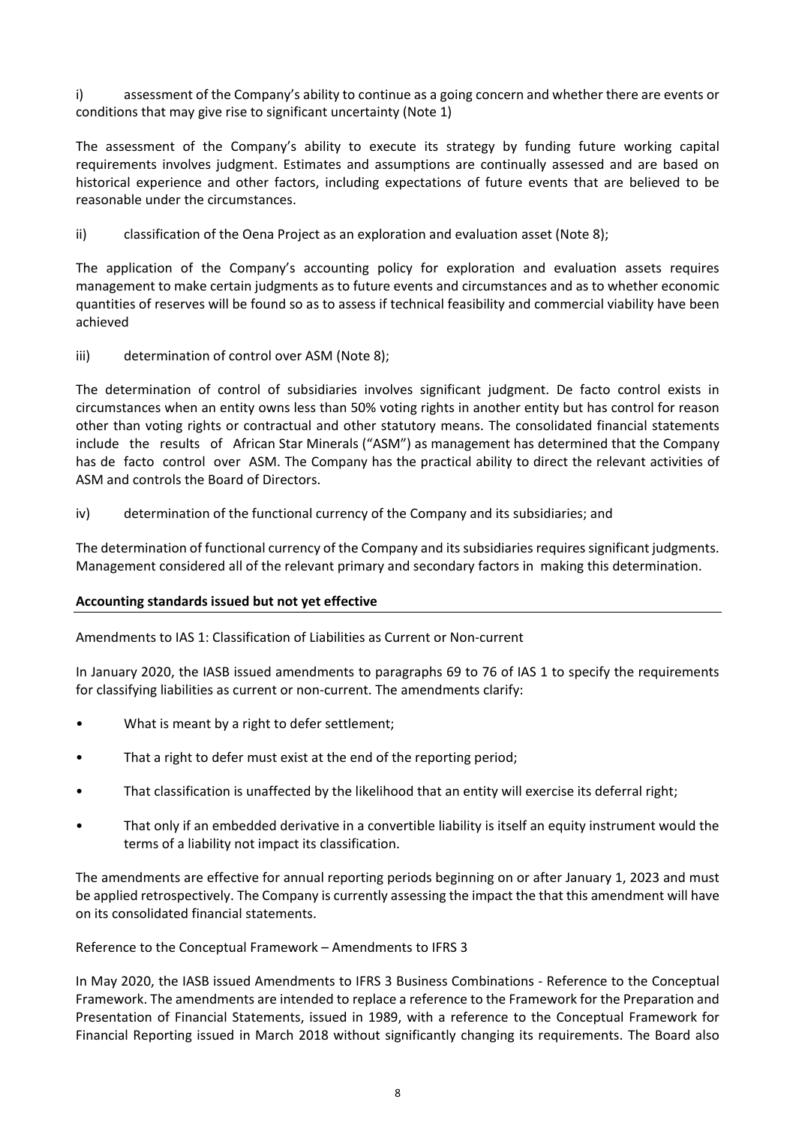i) assessment of the Company's ability to continue as a going concern and whether there are events or conditions that may give rise to significant uncertainty (Note 1)

The assessment of the Company's ability to execute its strategy by funding future working capital requirements involves judgment. Estimates and assumptions are continually assessed and are based on historical experience and other factors, including expectations of future events that are believed to be reasonable under the circumstances.

ii) classification of the Oena Project as an exploration and evaluation asset (Note 8);

The application of the Company's accounting policy for exploration and evaluation assets requires management to make certain judgments as to future events and circumstances and as to whether economic quantities of reserves will be found so as to assess if technical feasibility and commercial viability have been achieved

iii) determination of control over ASM (Note 8);

The determination of control of subsidiaries involves significant judgment. De facto control exists in circumstances when an entity owns less than 50% voting rights in another entity but has control for reason other than voting rights or contractual and other statutory means. The consolidated financial statements include the results of African Star Minerals ("ASM") as management has determined that the Company has de facto control over ASM. The Company has the practical ability to direct the relevant activities of ASM and controls the Board of Directors.

iv) determination of the functional currency of the Company and its subsidiaries; and

The determination of functional currency of the Company and its subsidiaries requires significant judgments. Management considered all of the relevant primary and secondary factors in making this determination.

## **Accounting standards issued but not yet effective**

Amendments to IAS 1: Classification of Liabilities as Current or Non-current

In January 2020, the IASB issued amendments to paragraphs 69 to 76 of IAS 1 to specify the requirements for classifying liabilities as current or non-current. The amendments clarify:

- What is meant by a right to defer settlement;
- That a right to defer must exist at the end of the reporting period;
- That classification is unaffected by the likelihood that an entity will exercise its deferral right;
- That only if an embedded derivative in a convertible liability is itself an equity instrument would the terms of a liability not impact its classification.

The amendments are effective for annual reporting periods beginning on or after January 1, 2023 and must be applied retrospectively. The Company is currently assessing the impact the that this amendment will have on its consolidated financial statements.

## Reference to the Conceptual Framework – Amendments to IFRS 3

In May 2020, the IASB issued Amendments to IFRS 3 Business Combinations - Reference to the Conceptual Framework. The amendments are intended to replace a reference to the Framework for the Preparation and Presentation of Financial Statements, issued in 1989, with a reference to the Conceptual Framework for Financial Reporting issued in March 2018 without significantly changing its requirements. The Board also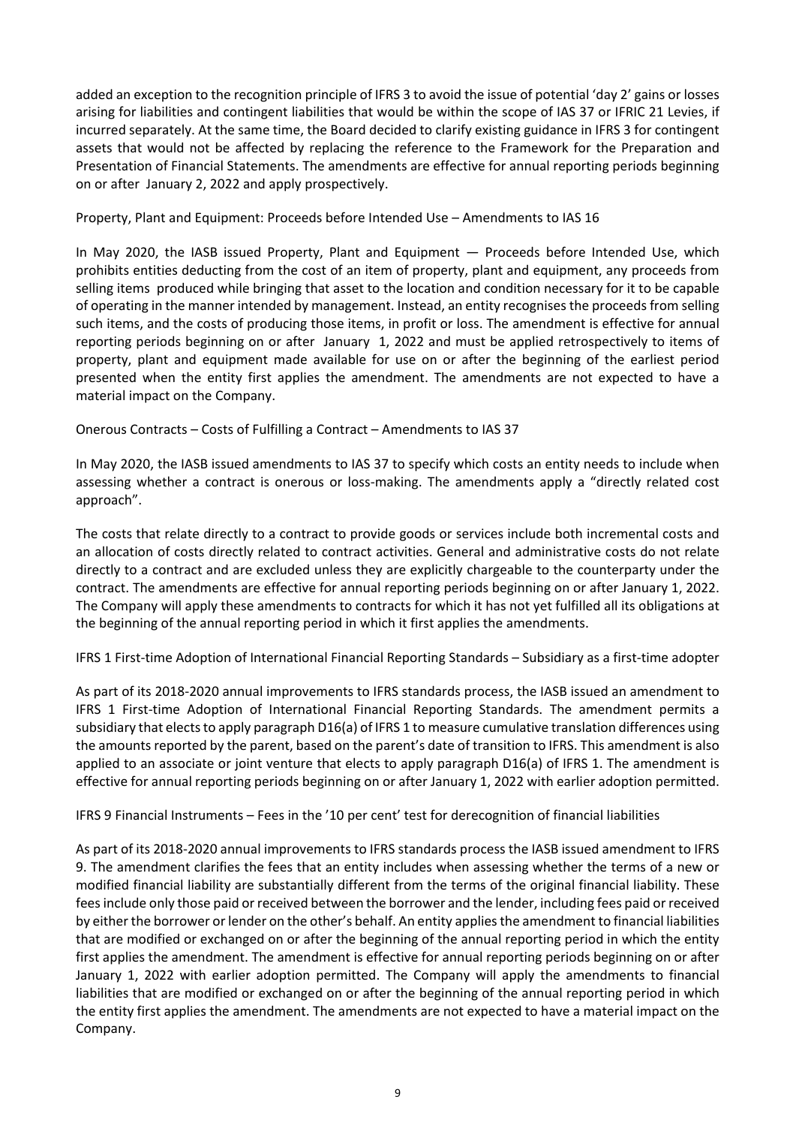added an exception to the recognition principle of IFRS 3 to avoid the issue of potential 'day 2' gains or losses arising for liabilities and contingent liabilities that would be within the scope of IAS 37 or IFRIC 21 Levies, if incurred separately. At the same time, the Board decided to clarify existing guidance in IFRS 3 for contingent assets that would not be affected by replacing the reference to the Framework for the Preparation and Presentation of Financial Statements. The amendments are effective for annual reporting periods beginning on or after January 2, 2022 and apply prospectively.

Property, Plant and Equipment: Proceeds before Intended Use – Amendments to IAS 16

In May 2020, the IASB issued Property, Plant and Equipment — Proceeds before Intended Use, which prohibits entities deducting from the cost of an item of property, plant and equipment, any proceeds from selling items produced while bringing that asset to the location and condition necessary for it to be capable of operating in the manner intended by management. Instead, an entity recognises the proceeds from selling such items, and the costs of producing those items, in profit or loss. The amendment is effective for annual reporting periods beginning on or after January 1, 2022 and must be applied retrospectively to items of property, plant and equipment made available for use on or after the beginning of the earliest period presented when the entity first applies the amendment. The amendments are not expected to have a material impact on the Company.

Onerous Contracts – Costs of Fulfilling a Contract – Amendments to IAS 37

In May 2020, the IASB issued amendments to IAS 37 to specify which costs an entity needs to include when assessing whether a contract is onerous or loss-making. The amendments apply a "directly related cost approach".

The costs that relate directly to a contract to provide goods or services include both incremental costs and an allocation of costs directly related to contract activities. General and administrative costs do not relate directly to a contract and are excluded unless they are explicitly chargeable to the counterparty under the contract. The amendments are effective for annual reporting periods beginning on or after January 1, 2022. The Company will apply these amendments to contracts for which it has not yet fulfilled all its obligations at the beginning of the annual reporting period in which it first applies the amendments.

IFRS 1 First-time Adoption of International Financial Reporting Standards – Subsidiary as a first-time adopter

As part of its 2018-2020 annual improvements to IFRS standards process, the IASB issued an amendment to IFRS 1 First-time Adoption of International Financial Reporting Standards. The amendment permits a subsidiary that elects to apply paragraph D16(a) of IFRS 1 to measure cumulative translation differences using the amounts reported by the parent, based on the parent's date of transition to IFRS. This amendment is also applied to an associate or joint venture that elects to apply paragraph D16(a) of IFRS 1. The amendment is effective for annual reporting periods beginning on or after January 1, 2022 with earlier adoption permitted.

IFRS 9 Financial Instruments – Fees in the '10 per cent' test for derecognition of financial liabilities

As part of its 2018-2020 annual improvements to IFRS standards process the IASB issued amendment to IFRS 9. The amendment clarifies the fees that an entity includes when assessing whether the terms of a new or modified financial liability are substantially different from the terms of the original financial liability. These fees include only those paid or received between the borrower and the lender, including fees paid or received by either the borrower or lender on the other's behalf. An entity applies the amendment to financial liabilities that are modified or exchanged on or after the beginning of the annual reporting period in which the entity first applies the amendment. The amendment is effective for annual reporting periods beginning on or after January 1, 2022 with earlier adoption permitted. The Company will apply the amendments to financial liabilities that are modified or exchanged on or after the beginning of the annual reporting period in which the entity first applies the amendment. The amendments are not expected to have a material impact on the Company.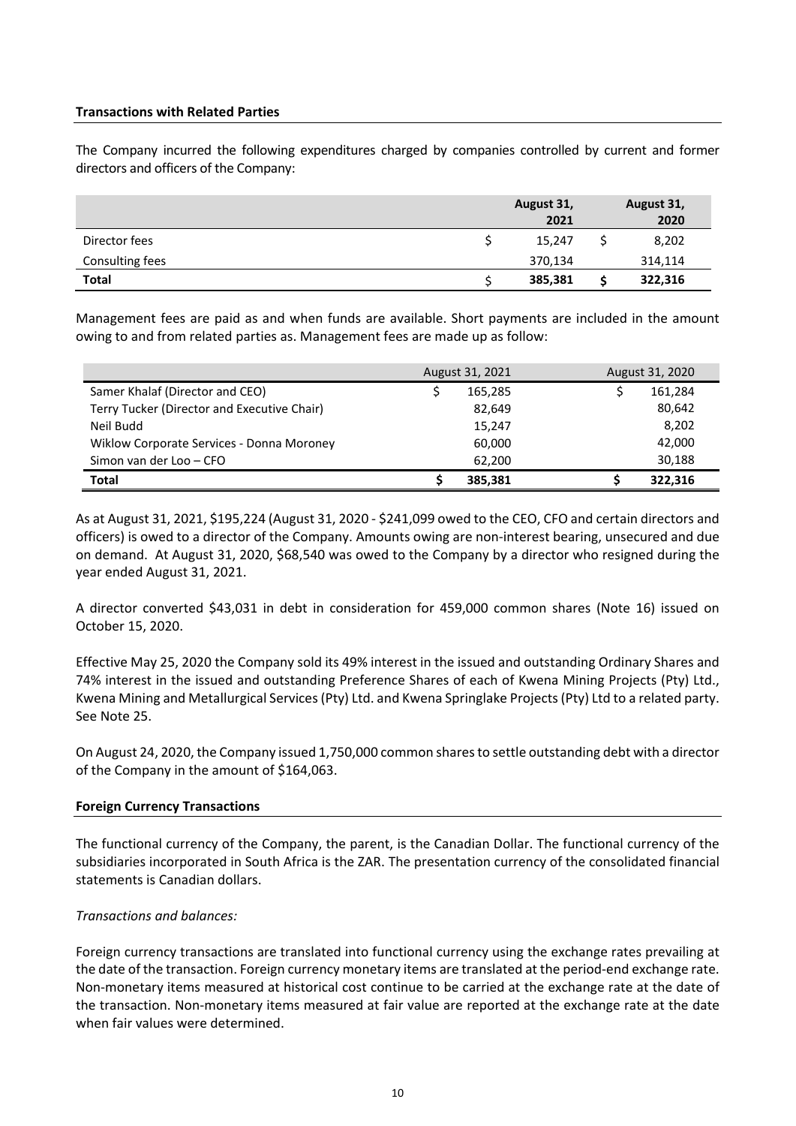## **Transactions with Related Parties**

The Company incurred the following expenditures charged by companies controlled by current and former directors and officers of the Company:

|                 | August 31,<br>2021 | August 31,<br>2020 |
|-----------------|--------------------|--------------------|
| Director fees   | 15,247             | 8,202              |
| Consulting fees | 370,134            | 314,114            |
| <b>Total</b>    | 385,381            | 322,316            |

Management fees are paid as and when funds are available. Short payments are included in the amount owing to and from related parties as. Management fees are made up as follow:

|                                             | August 31, 2021 | August 31, 2020 |
|---------------------------------------------|-----------------|-----------------|
| Samer Khalaf (Director and CEO)             | 165,285         | 161,284         |
| Terry Tucker (Director and Executive Chair) | 82,649          | 80,642          |
| Neil Budd                                   | 15,247          | 8,202           |
| Wiklow Corporate Services - Donna Moroney   | 60,000          | 42,000          |
| Simon van der Loo - CFO                     | 62.200          | 30,188          |
| <b>Total</b>                                | 385.381         | 322.316         |

As at August 31, 2021, \$195,224 (August 31, 2020 - \$241,099 owed to the CEO, CFO and certain directors and officers) is owed to a director of the Company. Amounts owing are non-interest bearing, unsecured and due on demand. At August 31, 2020, \$68,540 was owed to the Company by a director who resigned during the year ended August 31, 2021.

A director converted \$43,031 in debt in consideration for 459,000 common shares (Note 16) issued on October 15, 2020.

Effective May 25, 2020 the Company sold its 49% interest in the issued and outstanding Ordinary Shares and 74% interest in the issued and outstanding Preference Shares of each of Kwena Mining Projects (Pty) Ltd., Kwena Mining and Metallurgical Services (Pty) Ltd. and Kwena Springlake Projects (Pty) Ltd to a related party. See Note 25.

On August 24, 2020, the Company issued 1,750,000 common shares to settle outstanding debt with a director of the Company in the amount of \$164,063.

## **Foreign Currency Transactions**

The functional currency of the Company, the parent, is the Canadian Dollar. The functional currency of the subsidiaries incorporated in South Africa is the ZAR. The presentation currency of the consolidated financial statements is Canadian dollars.

## *Transactions and balances:*

Foreign currency transactions are translated into functional currency using the exchange rates prevailing at the date of the transaction. Foreign currency monetary items are translated at the period-end exchange rate. Non-monetary items measured at historical cost continue to be carried at the exchange rate at the date of the transaction. Non-monetary items measured at fair value are reported at the exchange rate at the date when fair values were determined.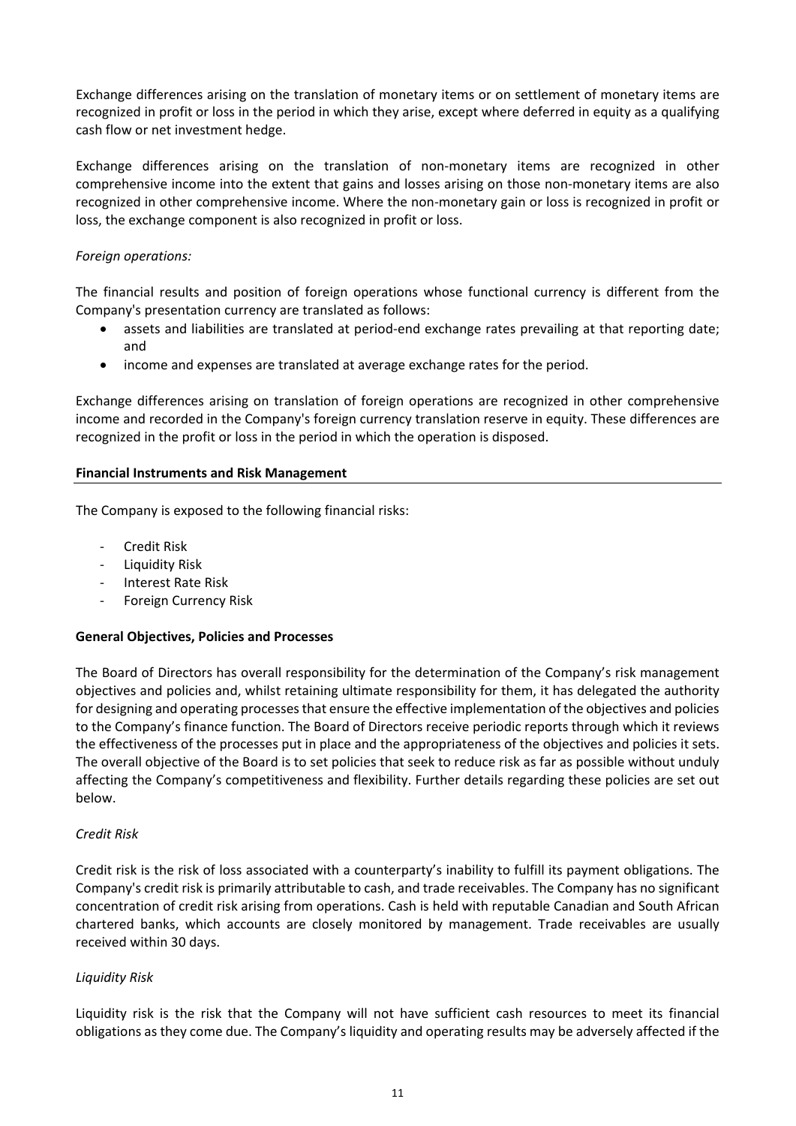Exchange differences arising on the translation of monetary items or on settlement of monetary items are recognized in profit or loss in the period in which they arise, except where deferred in equity as a qualifying cash flow or net investment hedge.

Exchange differences arising on the translation of non-monetary items are recognized in other comprehensive income into the extent that gains and losses arising on those non-monetary items are also recognized in other comprehensive income. Where the non-monetary gain or loss is recognized in profit or loss, the exchange component is also recognized in profit or loss.

# *Foreign operations:*

The financial results and position of foreign operations whose functional currency is different from the Company's presentation currency are translated as follows:

- assets and liabilities are translated at period-end exchange rates prevailing at that reporting date; and
- income and expenses are translated at average exchange rates for the period.

Exchange differences arising on translation of foreign operations are recognized in other comprehensive income and recorded in the Company's foreign currency translation reserve in equity. These differences are recognized in the profit or loss in the period in which the operation is disposed.

## **Financial Instruments and Risk Management**

The Company is exposed to the following financial risks:

- **Credit Risk**
- Liquidity Risk
- Interest Rate Risk
- Foreign Currency Risk

## **General Objectives, Policies and Processes**

The Board of Directors has overall responsibility for the determination of the Company's risk management objectives and policies and, whilst retaining ultimate responsibility for them, it has delegated the authority for designing and operating processes that ensure the effective implementation of the objectives and policies to the Company's finance function. The Board of Directors receive periodic reports through which it reviews the effectiveness of the processes put in place and the appropriateness of the objectives and policies it sets. The overall objective of the Board is to set policies that seek to reduce risk as far as possible without unduly affecting the Company's competitiveness and flexibility. Further details regarding these policies are set out below.

## *Credit Risk*

Credit risk is the risk of loss associated with a counterparty's inability to fulfill its payment obligations. The Company's credit risk is primarily attributable to cash, and trade receivables. The Company has no significant concentration of credit risk arising from operations. Cash is held with reputable Canadian and South African chartered banks, which accounts are closely monitored by management. Trade receivables are usually received within 30 days.

## *Liquidity Risk*

Liquidity risk is the risk that the Company will not have sufficient cash resources to meet its financial obligations as they come due. The Company's liquidity and operating results may be adversely affected if the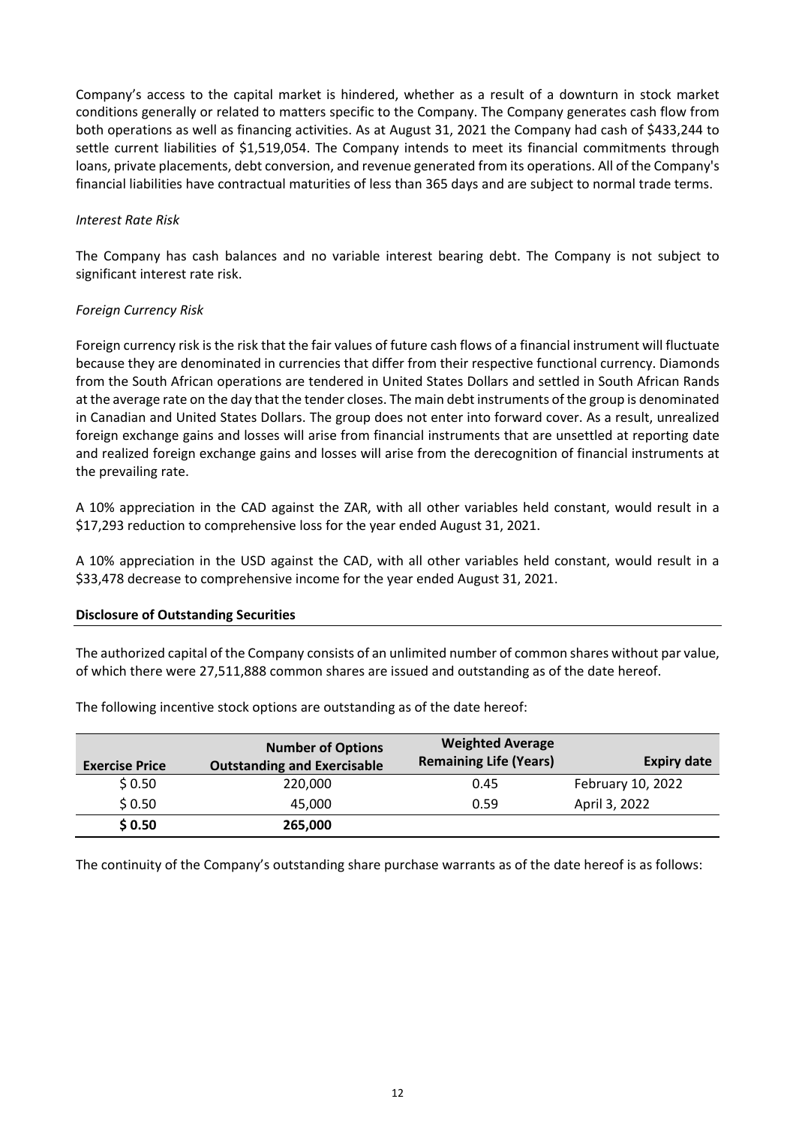Company's access to the capital market is hindered, whether as a result of a downturn in stock market conditions generally or related to matters specific to the Company. The Company generates cash flow from both operations as well as financing activities. As at August 31, 2021 the Company had cash of \$433,244 to settle current liabilities of \$1,519,054. The Company intends to meet its financial commitments through loans, private placements, debt conversion, and revenue generated from its operations. All of the Company's financial liabilities have contractual maturities of less than 365 days and are subject to normal trade terms.

## *Interest Rate Risk*

The Company has cash balances and no variable interest bearing debt. The Company is not subject to significant interest rate risk.

## *Foreign Currency Risk*

Foreign currency risk is the risk that the fair values of future cash flows of a financial instrument will fluctuate because they are denominated in currencies that differ from their respective functional currency. Diamonds from the South African operations are tendered in United States Dollars and settled in South African Rands at the average rate on the day that the tender closes. The main debt instruments of the group is denominated in Canadian and United States Dollars. The group does not enter into forward cover. As a result, unrealized foreign exchange gains and losses will arise from financial instruments that are unsettled at reporting date and realized foreign exchange gains and losses will arise from the derecognition of financial instruments at the prevailing rate.

A 10% appreciation in the CAD against the ZAR, with all other variables held constant, would result in a \$17,293 reduction to comprehensive loss for the year ended August 31, 2021.

A 10% appreciation in the USD against the CAD, with all other variables held constant, would result in a \$33,478 decrease to comprehensive income for the year ended August 31, 2021.

## **Disclosure of Outstanding Securities**

The authorized capital of the Company consists of an unlimited number of common shares without par value, of which there were 27,511,888 common shares are issued and outstanding as of the date hereof.

| <b>Exercise Price</b> | <b>Number of Options</b><br><b>Outstanding and Exercisable</b> | <b>Weighted Average</b><br><b>Remaining Life (Years)</b> | <b>Expiry date</b> |
|-----------------------|----------------------------------------------------------------|----------------------------------------------------------|--------------------|
| \$0.50                | 220,000                                                        | 0.45                                                     | February 10, 2022  |
| \$0.50                | 45.000                                                         | 0.59                                                     | April 3, 2022      |
| \$0.50                | 265,000                                                        |                                                          |                    |

The following incentive stock options are outstanding as of the date hereof:

The continuity of the Company's outstanding share purchase warrants as of the date hereof is as follows: